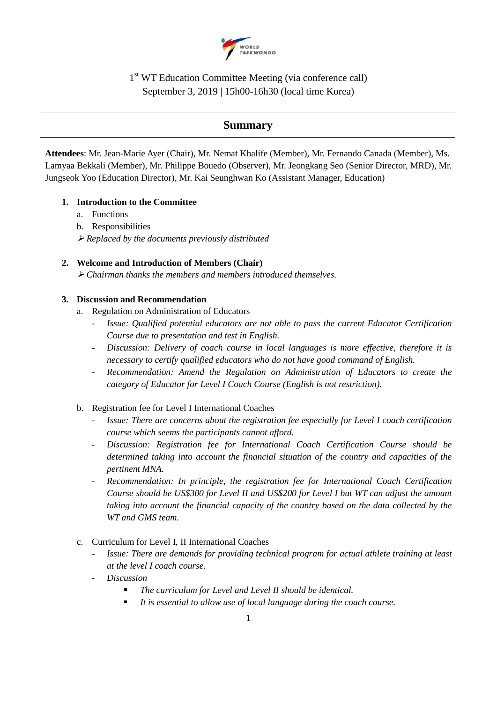

1<sup>st</sup> WT Education Committee Meeting (via conference call) September 3, 2019 | 15h00-16h30 (local time Korea)

# **Summary**

**Attendees**: Mr. Jean-Marie Ayer (Chair), Mr. Nemat Khalife (Member), Mr. Fernando Canada (Member), Ms. Lamyaa Bekkali (Member), Mr. Philippe Bouedo (Observer), Mr. Jeongkang Seo (Senior Director, MRD), Mr. Jungseok Yoo (Education Director), Mr. Kai Seunghwan Ko (Assistant Manager, Education)

## **1. Introduction to the Committee**

- a. Functions
- b. Responsibilities

*Replaced by the documents previously distributed*

### **2. Welcome and Introduction of Members (Chair)**

*Chairman thanks the members and members introduced themselves.*

## **3. Discussion and Recommendation**

- a. Regulation on Administration of Educators
	- *Issue: Qualified potential educators are not able to pass the current Educator Certification Course due to presentation and test in English.*
	- *Discussion: Delivery of coach course in local languages is more effective, therefore it is necessary to certify qualified educators who do not have good command of English.*
	- *Recommendation: Amend the Regulation on Administration of Educators to create the category of Educator for Level I Coach Course (English is not restriction).*
- b. Registration fee for Level I International Coaches
	- *Issue: There are concerns about the registration fee especially for Level I coach certification course which seems the participants cannot afford.*
	- *Discussion: Registration fee for International Coach Certification Course should be determined taking into account the financial situation of the country and capacities of the pertinent MNA.*
	- *Recommendation: In principle, the registration fee for International Coach Certification Course should be US\$300 for Level II and US\$200 for Level I but WT can adjust the amount taking into account the financial capacity of the country based on the data collected by the WT and GMS team.*
- c. Curriculum for Level I, II International Coaches
	- *Issue: There are demands for providing technical program for actual athlete training at least at the level I coach course.*
	- *Discussion*
		- *The curriculum for Level and Level II should be identical.*
		- *It is essential to allow use of local language during the coach course.*